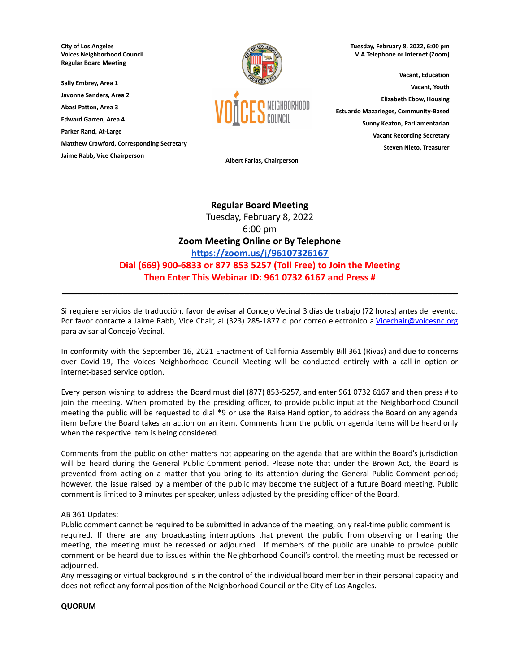**City of Los Angeles Voices Neighborhood Council Regular Board Meeting**

**Sally Embrey, Area 1 Javonne Sanders, Area 2**

**Abasi Patton, Area 3**

**Edward Garren, Area 4**

**Parker Rand, At-Large**

**Matthew Crawford, Corresponding Secretary**

**Jaime Rabb, Vice Chairperson**



**Tuesday, February 8, 2022, 6:00 pm VIA Telephone or Internet (Zoom)**

**Vacant, Education Vacant, Youth Elizabeth Ebow, Housing Estuardo Mazariegos, Community-Based Sunny Keaton, Parliamentarian Vacant Recording Secretary Steven Nieto, Treasurer**

**Albert Farias, Chairperson**

# **Regular Board Meeting** Tuesday, February 8, 2022 6:00 pm **Zoom Meeting Online or By Telephone <https://zoom.us/j/96107326167> Dial (669) 900-6833 or 877 853 5257 (Toll Free) to Join the Meeting Then Enter This Webinar ID: 961 0732 6167 and Press #**

Si requiere servicios de traducción, favor de avisar al Concejo Vecinal 3 días de trabajo (72 horas) antes del evento. Por favor contacte a Jaime Rabb, Vice Chair, al (323) 285-1877 o por correo electrónico a [Vicechair@voicesnc.org](mailto:VNCCorrSec18@gmail.com) para avisar al Concejo Vecinal.

**\_\_\_\_\_\_\_\_\_\_\_\_\_\_\_\_\_\_\_\_\_\_\_\_\_\_\_\_\_\_\_\_\_\_\_\_\_\_\_\_\_\_\_\_\_\_\_\_\_\_\_\_\_\_\_\_\_\_\_\_\_\_\_\_\_\_\_\_\_\_\_\_\_\_\_\_\_\_**

In conformity with the September 16, 2021 Enactment of California Assembly Bill 361 (Rivas) and due to concerns over Covid-19, The Voices Neighborhood Council Meeting will be conducted entirely with a call-in option or internet-based service option.

Every person wishing to address the Board must dial (877) 853-5257, and enter 961 0732 6167 and then press # to join the meeting. When prompted by the presiding officer, to provide public input at the Neighborhood Council meeting the public will be requested to dial \*9 or use the Raise Hand option, to address the Board on any agenda item before the Board takes an action on an item. Comments from the public on agenda items will be heard only when the respective item is being considered.

Comments from the public on other matters not appearing on the agenda that are within the Board's jurisdiction will be heard during the General Public Comment period. Please note that under the Brown Act, the Board is prevented from acting on a matter that you bring to its attention during the General Public Comment period; however, the issue raised by a member of the public may become the subject of a future Board meeting. Public comment is limited to 3 minutes per speaker, unless adjusted by the presiding officer of the Board.

## AB 361 Updates:

Public comment cannot be required to be submitted in advance of the meeting, only real-time public comment is required. If there are any broadcasting interruptions that prevent the public from observing or hearing the meeting, the meeting must be recessed or adjourned. If members of the public are unable to provide public comment or be heard due to issues within the Neighborhood Council's control, the meeting must be recessed or adjourned.

Any messaging or virtual background is in the control of the individual board member in their personal capacity and does not reflect any formal position of the Neighborhood Council or the City of Los Angeles.

## **QUORUM**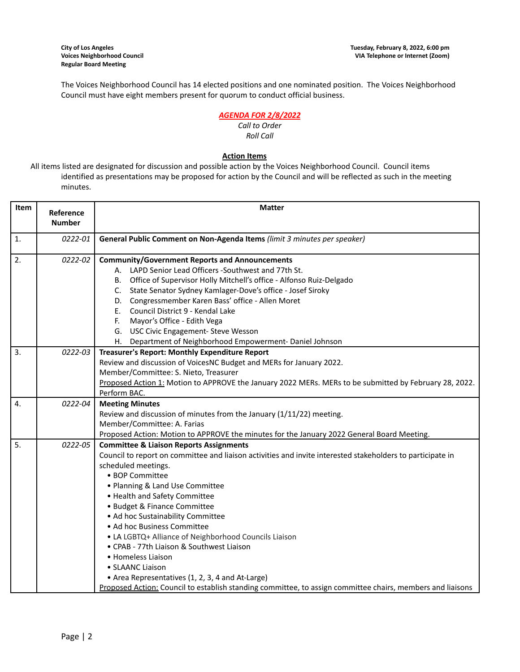The Voices Neighborhood Council has 14 elected positions and one nominated position. The Voices Neighborhood Council must have eight members present for quorum to conduct official business.

# *AGENDA FOR 2/8/2022*

#### *Call to Order Roll Call*

# **Action Items**

All items listed are designated for discussion and possible action by the Voices Neighborhood Council. Council items identified as presentations may be proposed for action by the Council and will be reflected as such in the meeting minutes.

| Item             | Reference<br><b>Number</b> | <b>Matter</b>                                                                                                                                                                                                                                                                                                                                                                                                                                                                                                                                                                                                                                                                                        |  |  |
|------------------|----------------------------|------------------------------------------------------------------------------------------------------------------------------------------------------------------------------------------------------------------------------------------------------------------------------------------------------------------------------------------------------------------------------------------------------------------------------------------------------------------------------------------------------------------------------------------------------------------------------------------------------------------------------------------------------------------------------------------------------|--|--|
| $\mathbf{1}$ .   | 0222-01                    | General Public Comment on Non-Agenda Items (limit 3 minutes per speaker)                                                                                                                                                                                                                                                                                                                                                                                                                                                                                                                                                                                                                             |  |  |
| 2.               | 0222-02                    | <b>Community/Government Reports and Announcements</b><br>A. LAPD Senior Lead Officers -Southwest and 77th St.<br>B. Office of Supervisor Holly Mitchell's office - Alfonso Ruiz-Delgado<br>C. State Senator Sydney Kamlager-Dove's office - Josef Siroky<br>D. Congressmember Karen Bass' office - Allen Moret<br>E. Council District 9 - Kendal Lake<br>F. Mayor's Office - Edith Vega<br>G. USC Civic Engagement- Steve Wesson<br>H. Department of Neighborhood Empowerment-Daniel Johnson                                                                                                                                                                                                         |  |  |
| 3.               | 0222-03                    | Treasurer's Report: Monthly Expenditure Report<br>Review and discussion of VoicesNC Budget and MERs for January 2022.<br>Member/Committee: S. Nieto, Treasurer<br>Proposed Action 1: Motion to APPROVE the January 2022 MERs. MERs to be submitted by February 28, 2022.<br>Perform BAC.                                                                                                                                                                                                                                                                                                                                                                                                             |  |  |
| $\overline{4}$ . | 0222-04                    | <b>Meeting Minutes</b><br>Review and discussion of minutes from the January (1/11/22) meeting.<br>Member/Committee: A. Farias<br>Proposed Action: Motion to APPROVE the minutes for the January 2022 General Board Meeting.                                                                                                                                                                                                                                                                                                                                                                                                                                                                          |  |  |
| 5.               | 0222-05                    | <b>Committee &amp; Liaison Reports Assignments</b><br>Council to report on committee and liaison activities and invite interested stakeholders to participate in<br>scheduled meetings.<br>• BOP Committee<br>• Planning & Land Use Committee<br>• Health and Safety Committee<br>• Budget & Finance Committee<br>• Ad hoc Sustainability Committee<br>• Ad hoc Business Committee<br>• LA LGBTQ+ Alliance of Neighborhood Councils Liaison<br>• CPAB - 77th Liaison & Southwest Liaison<br>• Homeless Liaison<br>• SLAANC Liaison<br>• Area Representatives (1, 2, 3, 4 and At-Large)<br>Proposed Action: Council to establish standing committee, to assign committee chairs, members and liaisons |  |  |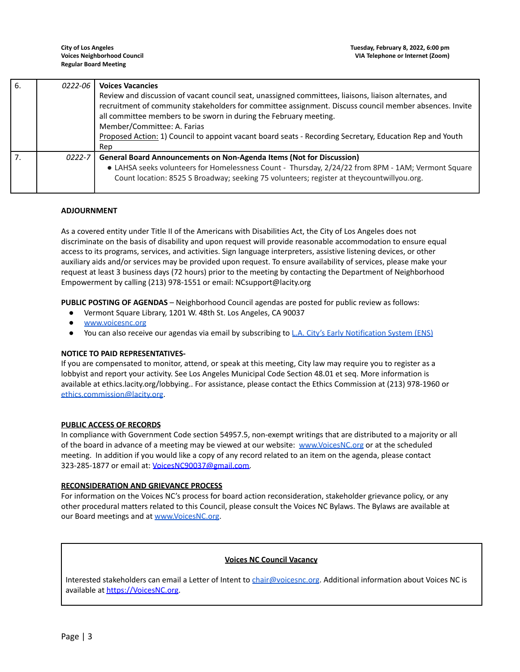| 6. | 0222-06    | <b>Voices Vacancies</b>                                                                                                                                                                                                                                                                                                                                                                                                                  |
|----|------------|------------------------------------------------------------------------------------------------------------------------------------------------------------------------------------------------------------------------------------------------------------------------------------------------------------------------------------------------------------------------------------------------------------------------------------------|
|    |            | Review and discussion of vacant council seat, unassigned committees, liaisons, liaison alternates, and<br>recruitment of community stakeholders for committee assignment. Discuss council member absences. Invite<br>all committee members to be sworn in during the February meeting.<br>Member/Committee: A. Farias<br>Proposed Action: 1) Council to appoint vacant board seats - Recording Secretary, Education Rep and Youth<br>Rep |
|    | $0222 - 7$ | <b>General Board Announcements on Non-Agenda Items (Not for Discussion)</b><br>• LAHSA seeks volunteers for Homelessness Count - Thursday, 2/24/22 from 8PM - 1AM; Vermont Square<br>Count location: 8525 S Broadway; seeking 75 volunteers; register at theycountwillyou.org.                                                                                                                                                           |

## **ADJOURNMENT**

As a covered entity under Title II of the Americans with Disabilities Act, the City of Los Angeles does not discriminate on the basis of disability and upon request will provide reasonable accommodation to ensure equal access to its programs, services, and activities. Sign language interpreters, assistive listening devices, or other auxiliary aids and/or services may be provided upon request. To ensure availability of services, please make your request at least 3 business days (72 hours) prior to the meeting by contacting the Department of Neighborhood Empowerment by calling (213) 978-1551 or email: NCsupport@lacity.org

**PUBLIC POSTING OF AGENDAS** – Neighborhood Council agendas are posted for public review as follows:

- Vermont Square Library, 1201 W. 48th St. Los Angeles, CA 90037
- [www.voicesnc.org](http://www.voicesnc.org)
- You can also receive our agendas via email by subscribing to L.A. City's Early [Notification](https://www.lacity.org/government/subscribe-agendasnotifications/neighborhood-councils) System (ENS)

#### **NOTICE TO PAID REPRESENTATIVES-**

If you are compensated to monitor, attend, or speak at this meeting, City law may require you to register as a lobbyist and report your activity. See Los Angeles Municipal Code Section 48.01 et seq. More information is available at ethics.lacity.org/lobbying.. For assistance, please contact the Ethics Commission at (213) 978-1960 or [ethics.commission@lacity.org](mailto:ethics.commission@lacity.org).

#### **PUBLIC ACCESS OF RECORDS**

In compliance with Government Code section 54957.5, non-exempt writings that are distributed to a majority or all of the board in advance of a meeting may be viewed at our website: [www.VoicesNC.org](http://www.voicesnc.org) or at the scheduled meeting. In addition if you would like a copy of any record related to an item on the agenda, please contact 323-285-1877 or email at: [VoicesNC90037@gmail.com.](mailto:VoicesNC90037@gmail.com)

#### **RECONSIDERATION AND GRIEVANCE PROCESS**

For information on the Voices NC's process for board action reconsideration, stakeholder grievance policy, or any other procedural matters related to this Council, please consult the Voices NC Bylaws. The Bylaws are available at our Board meetings and at [www.VoicesNC.org](http://www.voicesnc.org).

#### **Voices NC Council Vacancy**

Interested stakeholders can email a Letter of Intent to [chair@voicesnc.org](mailto:chair@voicesnc.org). Additional information about Voices NC is available at [https://VoicesNC.org](https://protect-us.mimecast.com/s/E5C9CqxMrGcYVDosZ0ERi).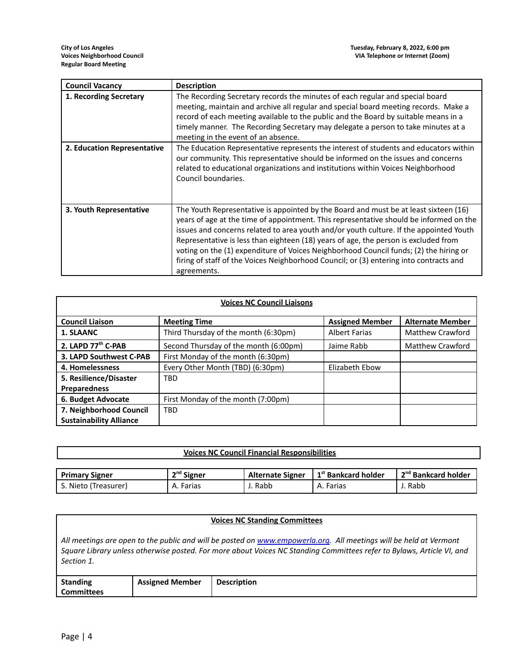| <b>Council Vacancy</b>      | <b>Description</b>                                                                                                                                                                                                                                                                                                                                                                                                                                                                                                                                                |
|-----------------------------|-------------------------------------------------------------------------------------------------------------------------------------------------------------------------------------------------------------------------------------------------------------------------------------------------------------------------------------------------------------------------------------------------------------------------------------------------------------------------------------------------------------------------------------------------------------------|
| 1. Recording Secretary      | The Recording Secretary records the minutes of each regular and special board<br>meeting, maintain and archive all regular and special board meeting records. Make a<br>record of each meeting available to the public and the Board by suitable means in a<br>timely manner. The Recording Secretary may delegate a person to take minutes at a<br>meeting in the event of an absence.                                                                                                                                                                           |
| 2. Education Representative | The Education Representative represents the interest of students and educators within<br>our community. This representative should be informed on the issues and concerns<br>related to educational organizations and institutions within Voices Neighborhood<br>Council boundaries.                                                                                                                                                                                                                                                                              |
| 3. Youth Representative     | The Youth Representative is appointed by the Board and must be at least sixteen (16)<br>years of age at the time of appointment. This representative should be informed on the<br>issues and concerns related to area youth and/or youth culture. If the appointed Youth<br>Representative is less than eighteen (18) years of age, the person is excluded from<br>voting on the (1) expenditure of Voices Neighborhood Council funds; (2) the hiring or<br>firing of staff of the Voices Neighborhood Council; or (3) entering into contracts and<br>agreements. |

| <b>Voices NC Council Liaisons</b> |                                       |                        |                         |
|-----------------------------------|---------------------------------------|------------------------|-------------------------|
| <b>Council Liaison</b>            | <b>Meeting Time</b>                   | <b>Assigned Member</b> | <b>Alternate Member</b> |
| 1. SLAANC                         | Third Thursday of the month (6:30pm)  | <b>Albert Farias</b>   | Matthew Crawford        |
| 2. LAPD 77 <sup>th</sup> C-PAB    | Second Thursday of the month (6:00pm) | Jaime Rabb             | <b>Matthew Crawford</b> |
| 3. LAPD Southwest C-PAB           | First Monday of the month (6:30pm)    |                        |                         |
| 4. Homelessness                   | Every Other Month (TBD) (6:30pm)      | Elizabeth Ebow         |                         |
| 5. Resilience/Disaster            | <b>TBD</b>                            |                        |                         |
| <b>Preparedness</b>               |                                       |                        |                         |
| 6. Budget Advocate                | First Monday of the month (7:00pm)    |                        |                         |
| 7. Neighborhood Council           | <b>TBD</b>                            |                        |                         |
| <b>Sustainability Alliance</b>    |                                       |                        |                         |

# **Voices NC Council Financial Responsibilities**

| <b>Primary Signer</b> | <sup>nd</sup> Signer | <b>Alternate Signer</b> | 1 <sup>st</sup> Bankcard holder | 2 <sup>nd</sup> Bankcard holder |
|-----------------------|----------------------|-------------------------|---------------------------------|---------------------------------|
| . Nieto (Treasurer)   | Farias<br>А.,        | Rabb                    | Farias<br>A. I                  | Rabb                            |

### **Voices NC Standing Committees**

All meetings are open to the public and will be posted on [www.empowerla.org](http://www.empowerla.org). All meetings will be held at Vermont Square Library unless otherwise posted. For more about Voices NC Standing Committees refer to Bylaws, Article VI, and *Section 1.*

| <b>Standing</b> | <b>Assigned Member</b> | <b>Description</b> |
|-----------------|------------------------|--------------------|
| Committees      |                        |                    |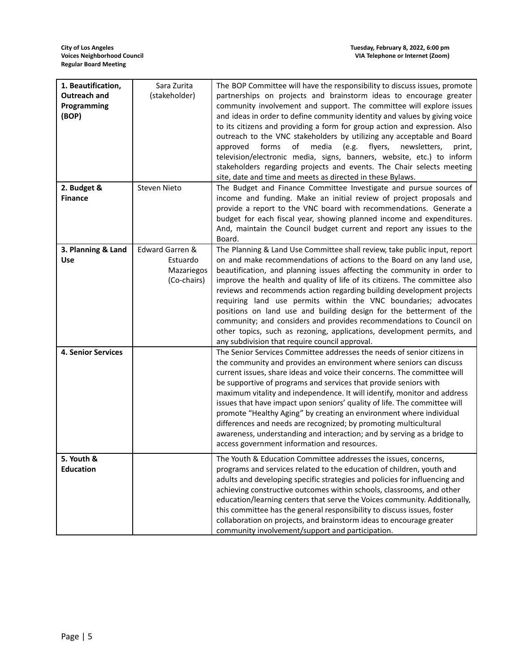| 1. Beautification,<br>Outreach and<br>Programming<br>(BOP)<br>2. Budget & | Sara Zurita<br>(stakeholder)<br>Steven Nieto             | The BOP Committee will have the responsibility to discuss issues, promote<br>partnerships on projects and brainstorm ideas to encourage greater<br>community involvement and support. The committee will explore issues<br>and ideas in order to define community identity and values by giving voice<br>to its citizens and providing a form for group action and expression. Also<br>outreach to the VNC stakeholders by utilizing any acceptable and Board<br>forms<br>of<br>media<br>(e.g.<br>flyers,<br>approved<br>newsletters,<br>print,<br>television/electronic media, signs, banners, website, etc.) to inform<br>stakeholders regarding projects and events. The Chair selects meeting<br>site, date and time and meets as directed in these Bylaws.<br>The Budget and Finance Committee Investigate and pursue sources of |
|---------------------------------------------------------------------------|----------------------------------------------------------|---------------------------------------------------------------------------------------------------------------------------------------------------------------------------------------------------------------------------------------------------------------------------------------------------------------------------------------------------------------------------------------------------------------------------------------------------------------------------------------------------------------------------------------------------------------------------------------------------------------------------------------------------------------------------------------------------------------------------------------------------------------------------------------------------------------------------------------|
| <b>Finance</b>                                                            |                                                          | income and funding. Make an initial review of project proposals and<br>provide a report to the VNC board with recommendations. Generate a<br>budget for each fiscal year, showing planned income and expenditures.<br>And, maintain the Council budget current and report any issues to the<br>Board.                                                                                                                                                                                                                                                                                                                                                                                                                                                                                                                                 |
| 3. Planning & Land<br>Use                                                 | Edward Garren &<br>Estuardo<br>Mazariegos<br>(Co-chairs) | The Planning & Land Use Committee shall review, take public input, report<br>on and make recommendations of actions to the Board on any land use,<br>beautification, and planning issues affecting the community in order to<br>improve the health and quality of life of its citizens. The committee also<br>reviews and recommends action regarding building development projects<br>requiring land use permits within the VNC boundaries; advocates<br>positions on land use and building design for the betterment of the<br>community; and considers and provides recommendations to Council on<br>other topics, such as rezoning, applications, development permits, and<br>any subdivision that require council approval.                                                                                                      |
| <b>4. Senior Services</b>                                                 |                                                          | The Senior Services Committee addresses the needs of senior citizens in<br>the community and provides an environment where seniors can discuss<br>current issues, share ideas and voice their concerns. The committee will<br>be supportive of programs and services that provide seniors with<br>maximum vitality and independence. It will identify, monitor and address<br>issues that have impact upon seniors' quality of life. The committee will<br>promote "Healthy Aging" by creating an environment where individual<br>differences and needs are recognized; by promoting multicultural<br>awareness, understanding and interaction; and by serving as a bridge to<br>access government information and resources.                                                                                                         |
| 5. Youth &<br><b>Education</b>                                            |                                                          | The Youth & Education Committee addresses the issues, concerns,<br>programs and services related to the education of children, youth and<br>adults and developing specific strategies and policies for influencing and<br>achieving constructive outcomes within schools, classrooms, and other<br>education/learning centers that serve the Voices community. Additionally,<br>this committee has the general responsibility to discuss issues, foster<br>collaboration on projects, and brainstorm ideas to encourage greater<br>community involvement/support and participation.                                                                                                                                                                                                                                                   |